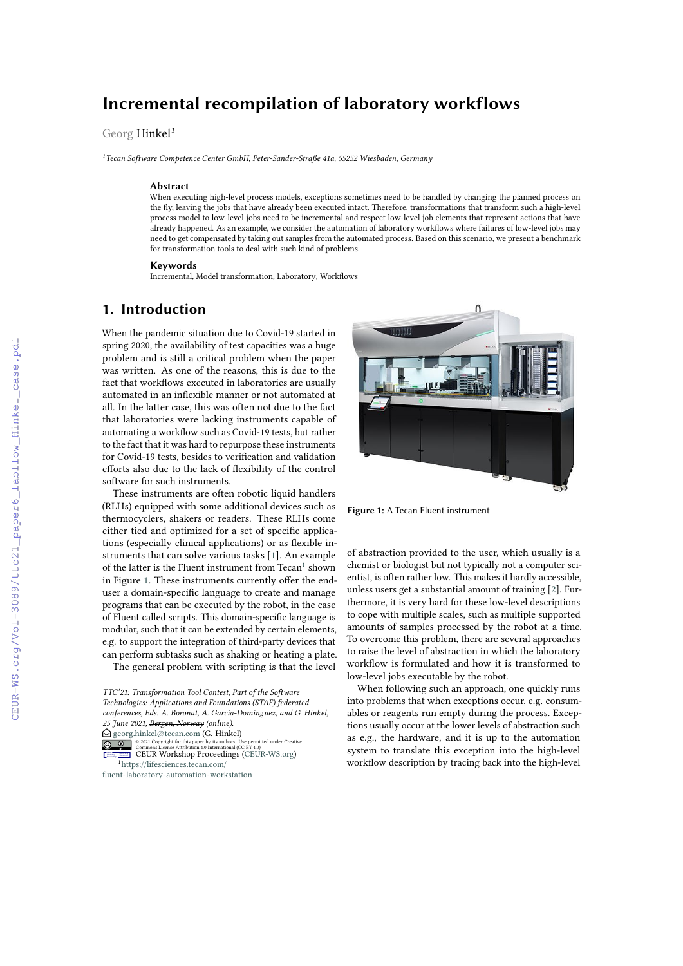# **Incremental recompilation of laboratory workflows**

## Georg Hinkel*<sup>1</sup>*

*<sup>1</sup>Tecan Software Competence Center GmbH, Peter-Sander-Straße 41a, 55252 Wiesbaden, Germany*

#### **Abstract**

When executing high-level process models, exceptions sometimes need to be handled by changing the planned process on the fly, leaving the jobs that have already been executed intact. Therefore, transformations that transform such a high-level process model to low-level jobs need to be incremental and respect low-level job elements that represent actions that have already happened. As an example, we consider the automation of laboratory workflows where failures of low-level jobs may need to get compensated by taking out samples from the automated process. Based on this scenario, we present a benchmark for transformation tools to deal with such kind of problems.

#### **Keywords**

Incremental, Model transformation, Laboratory, Workflows

# **1. Introduction**

When the pandemic situation due to Covid-19 started in spring 2020, the availability of test capacities was a huge problem and is still a critical problem when the paper was written. As one of the reasons, this is due to the fact that workflows executed in laboratories are usually automated in an inflexible manner or not automated at all. In the latter case, this was often not due to the fact that laboratories were lacking instruments capable of automating a workflow such as Covid-19 tests, but rather to the fact that it was hard to repurpose these instruments for Covid-19 tests, besides to verification and validation efforts also due to the lack of flexibility of the control software for such instruments.

These instruments are often robotic liquid handlers (RLHs) equipped with some additional devices such as thermocyclers, shakers or readers. These RLHs come either tied and optimized for a set of specific applications (especially clinical applications) or as flexible instruments that can solve various tasks [\[1\]](#page--1-0). An example of the latter is the Fluent instrument from  $Tecan<sup>1</sup>$  $Tecan<sup>1</sup>$  $Tecan<sup>1</sup>$  shown in Figure [1.](#page-0-1) These instruments currently offer the enduser a domain-specific language to create and manage programs that can be executed by the robot, in the case of Fluent called scripts. This domain-specific language is modular, such that it can be extended by certain elements, e.g. to support the integration of third-party devices that can perform subtasks such as shaking or heating a plate. The general problem with scripting is that the level

<span id="page-0-0"></span><sup>1</sup>[https://lifesciences.tecan.com/](https://lifesciences.tecan.com/fluent-laboratory-automation-workstation)

<span id="page-0-1"></span>

**Figure 1:** A Tecan Fluent instrument

of abstraction provided to the user, which usually is a chemist or biologist but not typically not a computer scientist, is often rather low. This makes it hardly accessible, unless users get a substantial amount of training [\[2\]](#page--1-1). Furthermore, it is very hard for these low-level descriptions to cope with multiple scales, such as multiple supported amounts of samples processed by the robot at a time. To overcome this problem, there are several approaches to raise the level of abstraction in which the laboratory workflow is formulated and how it is transformed to low-level jobs executable by the robot.

When following such an approach, one quickly runs into problems that when exceptions occur, e.g. consumables or reagents run empty during the process. Exceptions usually occur at the lower levels of abstraction such as e.g., the hardware, and it is up to the automation system to translate this exception into the high-level workflow description by tracing back into the high-level

*TTC'21: Transformation Tool Contest, Part of the Software Technologies: Applications and Foundations (STAF) federated conferences, Eds. A. Boronat, A. García-Domínguez, and G. Hinkel, 25 June 2021, Bergen, Norway (online).*  $\bigcirc$  [georg.hinkel@tecan.com](mailto:georg.hinkel@tecan.com) (G. Hinkel)  $\circ$   $\circ$ → 0 2021 Copyright for this paper by its authors. Use permitted under Creative<br>
CETUR Workshop Proceedings (CEBUR -VOS.Org)

[fluent-laboratory-automation-workstation](https://lifesciences.tecan.com/fluent-laboratory-automation-workstation)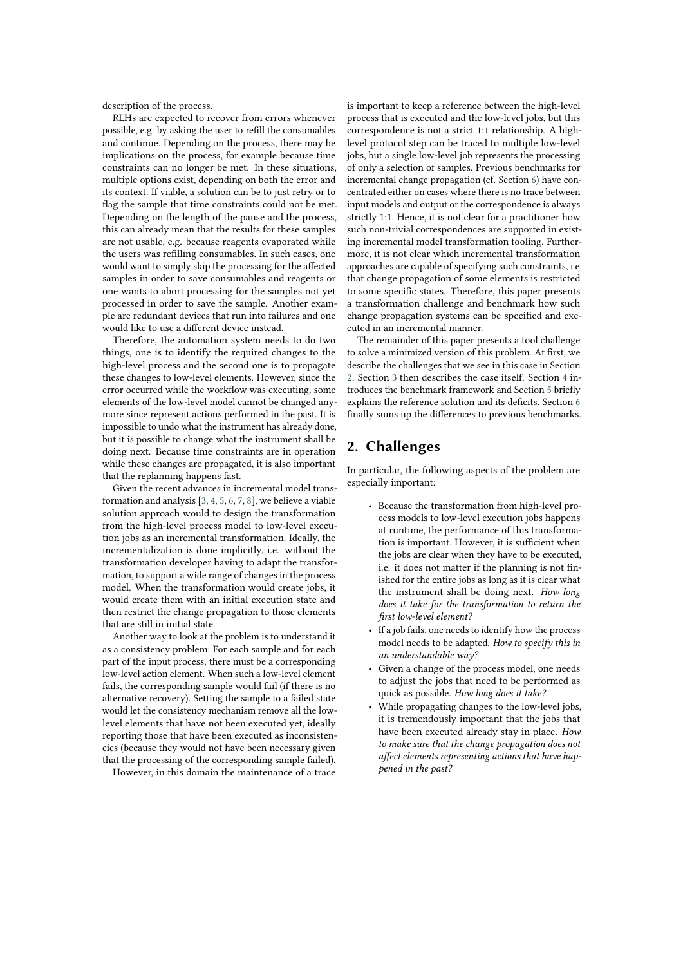description of the process.

RLHs are expected to recover from errors whenever possible, e.g. by asking the user to refill the consumables and continue. Depending on the process, there may be implications on the process, for example because time constraints can no longer be met. In these situations, multiple options exist, depending on both the error and its context. If viable, a solution can be to just retry or to flag the sample that time constraints could not be met. Depending on the length of the pause and the process, this can already mean that the results for these samples are not usable, e.g. because reagents evaporated while the users was refilling consumables. In such cases, one would want to simply skip the processing for the affected samples in order to save consumables and reagents or one wants to abort processing for the samples not yet processed in order to save the sample. Another example are redundant devices that run into failures and one would like to use a different device instead.

Therefore, the automation system needs to do two things, one is to identify the required changes to the high-level process and the second one is to propagate these changes to low-level elements. However, since the error occurred while the workflow was executing, some elements of the low-level model cannot be changed anymore since represent actions performed in the past. It is impossible to undo what the instrument has already done, but it is possible to change what the instrument shall be doing next. Because time constraints are in operation while these changes are propagated, it is also important that the replanning happens fast.

Given the recent advances in incremental model transformation and analysis [\[3,](#page-8-0) [4,](#page-8-1) [5,](#page-8-2) [6,](#page-8-3) [7,](#page-8-4) [8\]](#page-8-5), we believe a viable solution approach would to design the transformation from the high-level process model to low-level execution jobs as an incremental transformation. Ideally, the incrementalization is done implicitly, i.e. without the transformation developer having to adapt the transformation, to support a wide range of changes in the process model. When the transformation would create jobs, it would create them with an initial execution state and then restrict the change propagation to those elements that are still in initial state.

Another way to look at the problem is to understand it as a consistency problem: For each sample and for each part of the input process, there must be a corresponding low-level action element. When such a low-level element fails, the corresponding sample would fail (if there is no alternative recovery). Setting the sample to a failed state would let the consistency mechanism remove all the lowlevel elements that have not been executed yet, ideally reporting those that have been executed as inconsistencies (because they would not have been necessary given that the processing of the corresponding sample failed).

However, in this domain the maintenance of a trace

is important to keep a reference between the high-level process that is executed and the low-level jobs, but this correspondence is not a strict 1:1 relationship. A highlevel protocol step can be traced to multiple low-level jobs, but a single low-level job represents the processing of only a selection of samples. Previous benchmarks for incremental change propagation (cf. Section [6\)](#page-7-0) have concentrated either on cases where there is no trace between input models and output or the correspondence is always strictly 1:1. Hence, it is not clear for a practitioner how such non-trivial correspondences are supported in existing incremental model transformation tooling. Furthermore, it is not clear which incremental transformation approaches are capable of specifying such constraints, i.e. that change propagation of some elements is restricted to some specific states. Therefore, this paper presents a transformation challenge and benchmark how such change propagation systems can be specified and executed in an incremental manner.

The remainder of this paper presents a tool challenge to solve a minimized version of this problem. At first, we describe the challenges that we see in this case in Section [2.](#page-1-0) Section [3](#page-2-0) then describes the case itself. Section [4](#page-4-0) introduces the benchmark framework and Section [5](#page-6-0) briefly explains the reference solution and its deficits. Section [6](#page-7-0) finally sums up the differences to previous benchmarks.

# <span id="page-1-0"></span>**2. Challenges**

In particular, the following aspects of the problem are especially important:

- Because the transformation from high-level process models to low-level execution jobs happens at runtime, the performance of this transformation is important. However, it is sufficient when the jobs are clear when they have to be executed, i.e. it does not matter if the planning is not finished for the entire jobs as long as it is clear what the instrument shall be doing next. *How long does it take for the transformation to return the first low-level element?*
- If a job fails, one needs to identify how the process model needs to be adapted. *How to specify this in an understandable way?*
- Given a change of the process model, one needs to adjust the jobs that need to be performed as quick as possible. *How long does it take?*
- While propagating changes to the low-level jobs, it is tremendously important that the jobs that have been executed already stay in place. *How to make sure that the change propagation does not affect elements representing actions that have happened in the past?*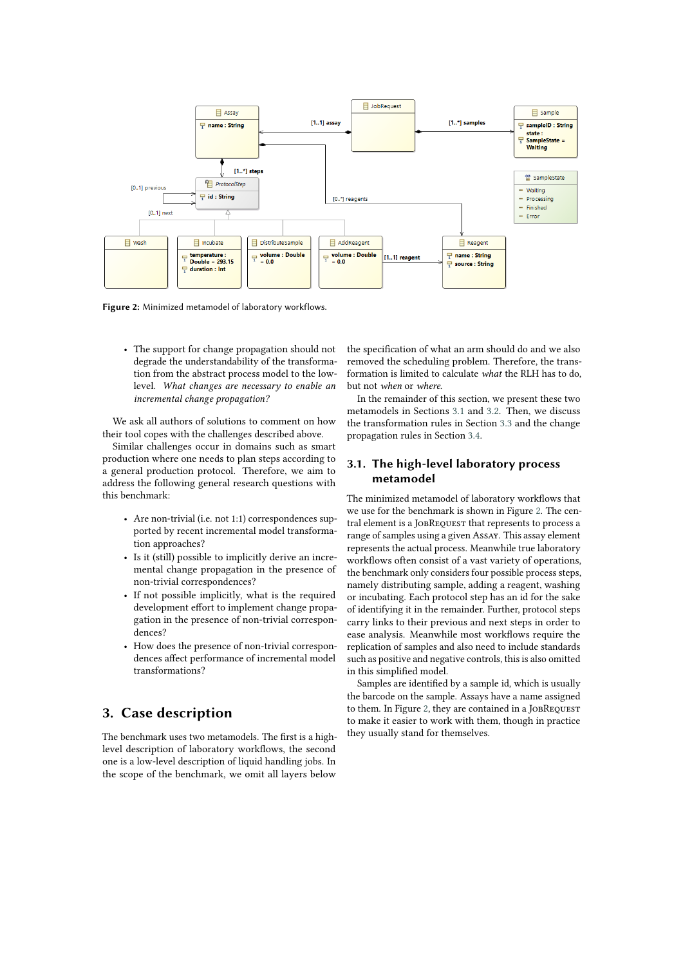<span id="page-2-2"></span>

**Figure 2:** Minimized metamodel of laboratory workflows.

• The support for change propagation should not degrade the understandability of the transformation from the abstract process model to the lowlevel. *What changes are necessary to enable an incremental change propagation?*

We ask all authors of solutions to comment on how their tool copes with the challenges described above.

Similar challenges occur in domains such as smart production where one needs to plan steps according to a general production protocol. Therefore, we aim to address the following general research questions with this benchmark:

- Are non-trivial (i.e. not 1:1) correspondences supported by recent incremental model transformation approaches?
- Is it (still) possible to implicitly derive an incremental change propagation in the presence of non-trivial correspondences?
- If not possible implicitly, what is the required development effort to implement change propagation in the presence of non-trivial correspondences?
- How does the presence of non-trivial correspondences affect performance of incremental model transformations?

# <span id="page-2-0"></span>**3. Case description**

The benchmark uses two metamodels. The first is a highlevel description of laboratory workflows, the second one is a low-level description of liquid handling jobs. In the scope of the benchmark, we omit all layers below

the specification of what an arm should do and we also removed the scheduling problem. Therefore, the transformation is limited to calculate *what* the RLH has to do, but not *when* or *where*.

In the remainder of this section, we present these two metamodels in Sections [3.1](#page-2-1) and [3.2.](#page-3-0) Then, we discuss the transformation rules in Section [3.3](#page-3-1) and the change propagation rules in Section [3.4.](#page-4-1)

### <span id="page-2-1"></span>**3.1. The high-level laboratory process metamodel**

The minimized metamodel of laboratory workflows that we use for the benchmark is shown in Figure [2.](#page-2-2) The central element is a JOBREQUEST that represents to process a range of samples using a given Assay. This assay element represents the actual process. Meanwhile true laboratory workflows often consist of a vast variety of operations, the benchmark only considers four possible process steps, namely distributing sample, adding a reagent, washing or incubating. Each protocol step has an id for the sake of identifying it in the remainder. Further, protocol steps carry links to their previous and next steps in order to ease analysis. Meanwhile most workflows require the replication of samples and also need to include standards such as positive and negative controls, this is also omitted in this simplified model.

Samples are identified by a sample id, which is usually the barcode on the sample. Assays have a name assigned to them. In Figure [2,](#page-2-2) they are contained in a JOBREQUEST to make it easier to work with them, though in practice they usually stand for themselves.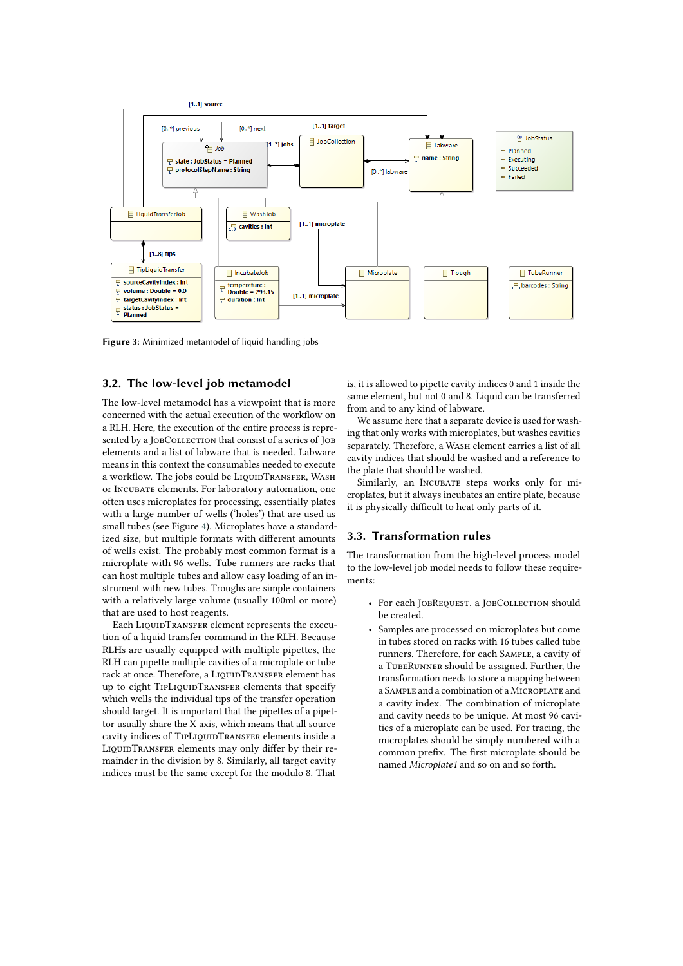

**Figure 3:** Minimized metamodel of liquid handling jobs

### <span id="page-3-0"></span>**3.2. The low-level job metamodel**

The low-level metamodel has a viewpoint that is more concerned with the actual execution of the workflow on a RLH. Here, the execution of the entire process is represented by a JOBCOLLECTION that consist of a series of JOB elements and a list of labware that is needed. Labware means in this context the consumables needed to execute a workflow. The jobs could be LIQUIDTRANSFER, WASH or Incubate elements. For laboratory automation, one often uses microplates for processing, essentially plates with a large number of wells ('holes') that are used as small tubes (see Figure [4\)](#page-5-0). Microplates have a standardized size, but multiple formats with different amounts of wells exist. The probably most common format is a microplate with 96 wells. Tube runners are racks that can host multiple tubes and allow easy loading of an instrument with new tubes. Troughs are simple containers with a relatively large volume (usually 100ml or more) that are used to host reagents.

Each LIQUIDTRANSFER element represents the execution of a liquid transfer command in the RLH. Because RLHs are usually equipped with multiple pipettes, the RLH can pipette multiple cavities of a microplate or tube rack at once. Therefore, a LIQUIDTRANSFER element has up to eight TIPLIQUIDTRANSFER elements that specify which wells the individual tips of the transfer operation should target. It is important that the pipettes of a pipettor usually share the X axis, which means that all source cavity indices of TIPLIQUIDTRANSFER elements inside a LIQUIDTRANSFER elements may only differ by their remainder in the division by 8. Similarly, all target cavity indices must be the same except for the modulo 8. That

is, it is allowed to pipette cavity indices 0 and 1 inside the same element, but not 0 and 8. Liquid can be transferred from and to any kind of labware.

We assume here that a separate device is used for washing that only works with microplates, but washes cavities separately. Therefore, a WASH element carries a list of all cavity indices that should be washed and a reference to the plate that should be washed.

Similarly, an INCUBATE steps works only for microplates, but it always incubates an entire plate, because it is physically difficult to heat only parts of it.

### <span id="page-3-1"></span>**3.3. Transformation rules**

The transformation from the high-level process model to the low-level job model needs to follow these requirements:

- For each JOBREQUEST, a JOBCOLLECTION should be created.
- Samples are processed on microplates but come in tubes stored on racks with 16 tubes called tube runners. Therefore, for each Sample, a cavity of a TubeRunner should be assigned. Further, the transformation needs to store a mapping between a Sample and a combination of a Microplate and a cavity index. The combination of microplate and cavity needs to be unique. At most 96 cavities of a microplate can be used. For tracing, the microplates should be simply numbered with a common prefix. The first microplate should be named *Microplate1* and so on and so forth.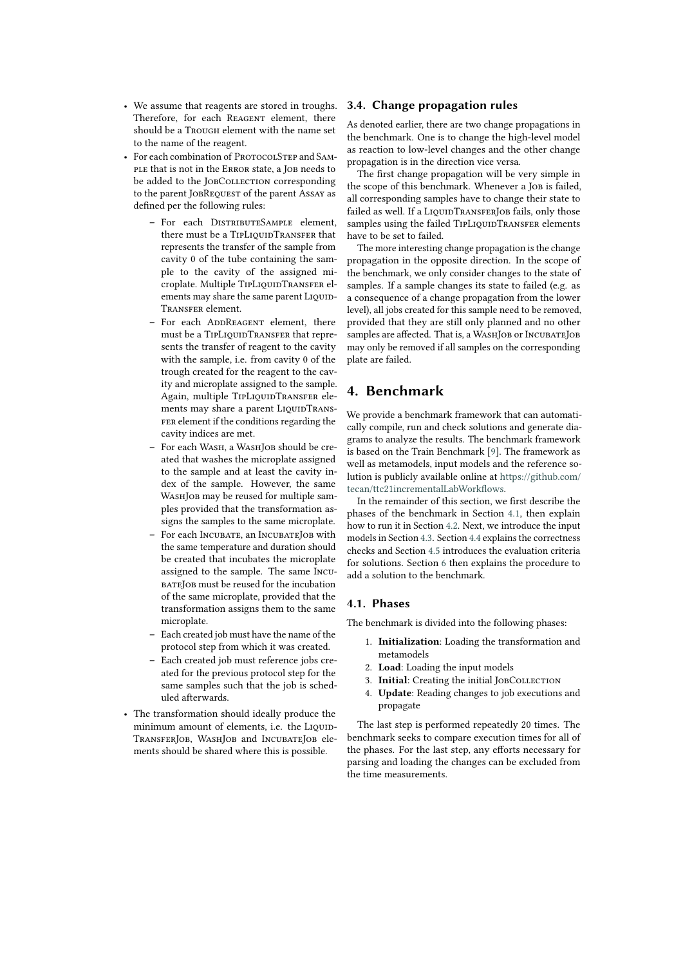- We assume that reagents are stored in troughs. Therefore, for each REAGENT element, there should be a Trough element with the name set to the name of the reagent.
- For each combination of PROTOCOLSTEP and SAMple that is not in the Error state, a Job needs to be added to the JOBCOLLECTION corresponding to the parent JOBREQUEST of the parent Assay as defined per the following rules:
	- **–** For each DistributeSample element, there must be a TIPLIQUIDTRANSFER that represents the transfer of the sample from cavity 0 of the tube containing the sample to the cavity of the assigned microplate. Multiple TIPLIQUIDTRANSFER elements may share the same parent Liquid-Transfer element.
	- **–** For each AddReagent element, there must be a TIPLIQUIDTRANSFER that represents the transfer of reagent to the cavity with the sample, i.e. from cavity 0 of the trough created for the reagent to the cavity and microplate assigned to the sample. Again, multiple TIPLIQUIDTRANSFER elements may share a parent LIQUIDTRANS-FER element if the conditions regarding the cavity indices are met.
	- **–** For each Wash, a WashJob should be created that washes the microplate assigned to the sample and at least the cavity index of the sample. However, the same WASHJOB may be reused for multiple samples provided that the transformation assigns the samples to the same microplate.
	- **–** For each Incubate, an IncubateJob with the same temperature and duration should be created that incubates the microplate assigned to the sample. The same IncubateJob must be reused for the incubation of the same microplate, provided that the transformation assigns them to the same microplate.
	- **–** Each created job must have the name of the protocol step from which it was created.
	- **–** Each created job must reference jobs created for the previous protocol step for the same samples such that the job is scheduled afterwards.
- The transformation should ideally produce the minimum amount of elements, i.e. the LIQUID-TransferJob, WashJob and IncubateJob elements should be shared where this is possible.

### <span id="page-4-1"></span>**3.4. Change propagation rules**

As denoted earlier, there are two change propagations in the benchmark. One is to change the high-level model as reaction to low-level changes and the other change propagation is in the direction vice versa.

The first change propagation will be very simple in the scope of this benchmark. Whenever a Job is failed, all corresponding samples have to change their state to failed as well. If a LIQUIDTRANSFERJOB fails, only those samples using the failed TIPLIQUIDTRANSFER elements have to be set to failed.

The more interesting change propagation is the change propagation in the opposite direction. In the scope of the benchmark, we only consider changes to the state of samples. If a sample changes its state to failed (e.g. as a consequence of a change propagation from the lower level), all jobs created for this sample need to be removed, provided that they are still only planned and no other samples are affected. That is, a WASHJOB or INCUBATEJOB may only be removed if all samples on the corresponding plate are failed.

# <span id="page-4-0"></span>**4. Benchmark**

We provide a benchmark framework that can automatically compile, run and check solutions and generate diagrams to analyze the results. The benchmark framework is based on the Train Benchmark [\[9\]](#page-8-6). The framework as well as metamodels, input models and the reference solution is publicly available online at [https://github.com/](https://github.com/tecan/ttc21incrementalLabWorkflows) [tecan/ttc21incrementalLabWorkflows.](https://github.com/tecan/ttc21incrementalLabWorkflows)

In the remainder of this section, we first describe the phases of the benchmark in Section [4.1,](#page-4-2) then explain how to run it in Section [4.2.](#page-5-1) Next, we introduce the input models in Section [4.3.](#page-5-2) Section [4.4](#page-5-3) explains the correctness checks and Section [4.5](#page-6-1) introduces the evaluation criteria for solutions. Section [6](#page-9-0) then explains the procedure to add a solution to the benchmark.

### <span id="page-4-2"></span>**4.1. Phases**

The benchmark is divided into the following phases:

- 1. **Initialization**: Loading the transformation and metamodels
- 2. **Load**: Loading the input models
- 3. **Initial**: Creating the initial JOBCOLLECTION
- 4. **Update**: Reading changes to job executions and propagate

The last step is performed repeatedly 20 times. The benchmark seeks to compare execution times for all of the phases. For the last step, any efforts necessary for parsing and loading the changes can be excluded from the time measurements.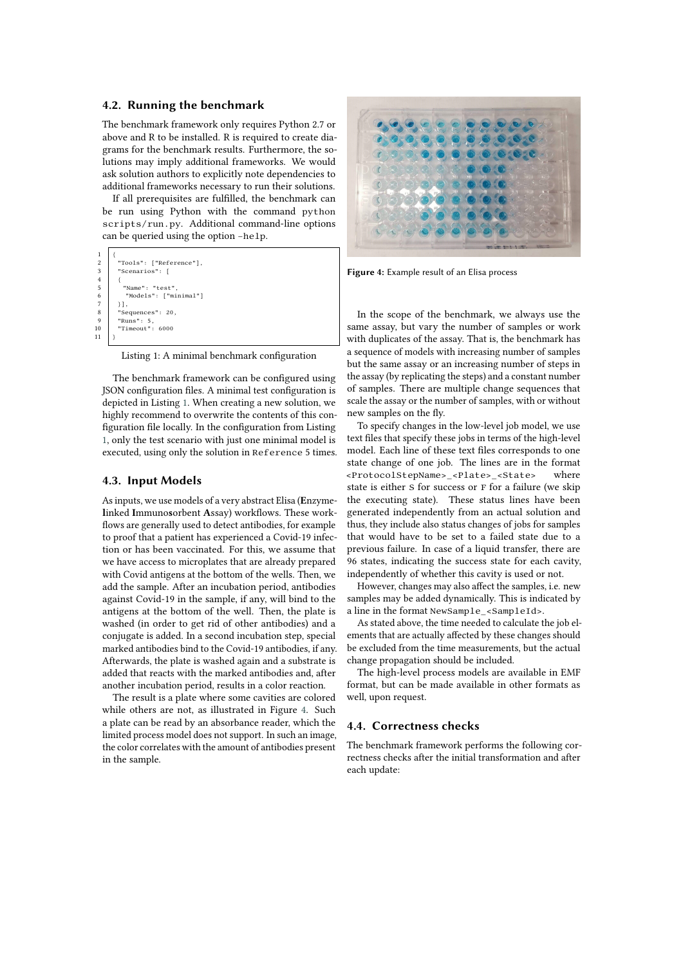#### <span id="page-5-1"></span>**4.2. Running the benchmark**

The benchmark framework only requires Python 2.7 or above and R to be installed. R is required to create diagrams for the benchmark results. Furthermore, the solutions may imply additional frameworks. We would ask solution authors to explicitly note dependencies to additional frameworks necessary to run their solutions.

If all prerequisites are fulfilled, the benchmark can be run using Python with the command python scripts/run.py. Additional command-line options can be queried using the option –help.

```
1 \mid \{\begin{bmatrix} 2 \\ 3 \end{bmatrix} "Tools": ["Reference"],<br>3
                     "Scenarios": [
 \begin{array}{c} 4 \\ 5 \\ 6 \\ 7 \end{array}"Name": "test",
                           "Models": ["minimal"]
  \begin{array}{c} 7 \\ 8 \\ 9 \end{array} \begin{array}{c} \begin{array}{c} 3 \\ 1 \\ 1 \end{array} \begin{array}{c} \text{S} \\ \text{S} \\ \text{R} \\ \text{R} \end{array}'Sequences": 20,
\begin{array}{c|c} 9 \\ 10 \end{array} "Runs": 5,<br>Timeout":
                    "Timeout": 6000
11
```
Listing 1: A minimal benchmark configuration

The benchmark framework can be configured using JSON configuration files. A minimal test configuration is depicted in Listing [1.](#page-5-4) When creating a new solution, we highly recommend to overwrite the contents of this configuration file locally. In the configuration from Listing [1,](#page-5-4) only the test scenario with just one minimal model is executed, using only the solution in Reference 5 times.

#### <span id="page-5-2"></span>**4.3. Input Models**

As inputs, we use models of a very abstract Elisa (**E**nzyme**l**inked **I**mmuno**s**orbent **A**ssay) workflows. These workflows are generally used to detect antibodies, for example to proof that a patient has experienced a Covid-19 infection or has been vaccinated. For this, we assume that we have access to microplates that are already prepared with Covid antigens at the bottom of the wells. Then, we add the sample. After an incubation period, antibodies against Covid-19 in the sample, if any, will bind to the antigens at the bottom of the well. Then, the plate is washed (in order to get rid of other antibodies) and a conjugate is added. In a second incubation step, special marked antibodies bind to the Covid-19 antibodies, if any. Afterwards, the plate is washed again and a substrate is added that reacts with the marked antibodies and, after another incubation period, results in a color reaction.

The result is a plate where some cavities are colored while others are not, as illustrated in Figure [4.](#page-5-0) Such a plate can be read by an absorbance reader, which the limited process model does not support. In such an image, the color correlates with the amount of antibodies present in the sample.

<span id="page-5-0"></span>

**Figure 4:** Example result of an Elisa process

In the scope of the benchmark, we always use the same assay, but vary the number of samples or work with duplicates of the assay. That is, the benchmark has a sequence of models with increasing number of samples but the same assay or an increasing number of steps in the assay (by replicating the steps) and a constant number of samples. There are multiple change sequences that scale the assay or the number of samples, with or without new samples on the fly.

To specify changes in the low-level job model, we use text files that specify these jobs in terms of the high-level model. Each line of these text files corresponds to one state change of one job. The lines are in the format <ProtocolStepName>\_<Plate>\_<State> where state is either <sup>S</sup> for success or <sup>F</sup> for a failure (we skip the executing state). These status lines have been generated independently from an actual solution and thus, they include also status changes of jobs for samples that would have to be set to a failed state due to a previous failure. In case of a liquid transfer, there are 96 states, indicating the success state for each cavity, independently of whether this cavity is used or not.

However, changes may also affect the samples, i.e. new samples may be added dynamically. This is indicated by a line in the format NewSample\_<SampleId>.

As stated above, the time needed to calculate the job elements that are actually affected by these changes should be excluded from the time measurements, but the actual change propagation should be included.

The high-level process models are available in EMF format, but can be made available in other formats as well, upon request.

#### <span id="page-5-3"></span>**4.4. Correctness checks**

The benchmark framework performs the following correctness checks after the initial transformation and after each update: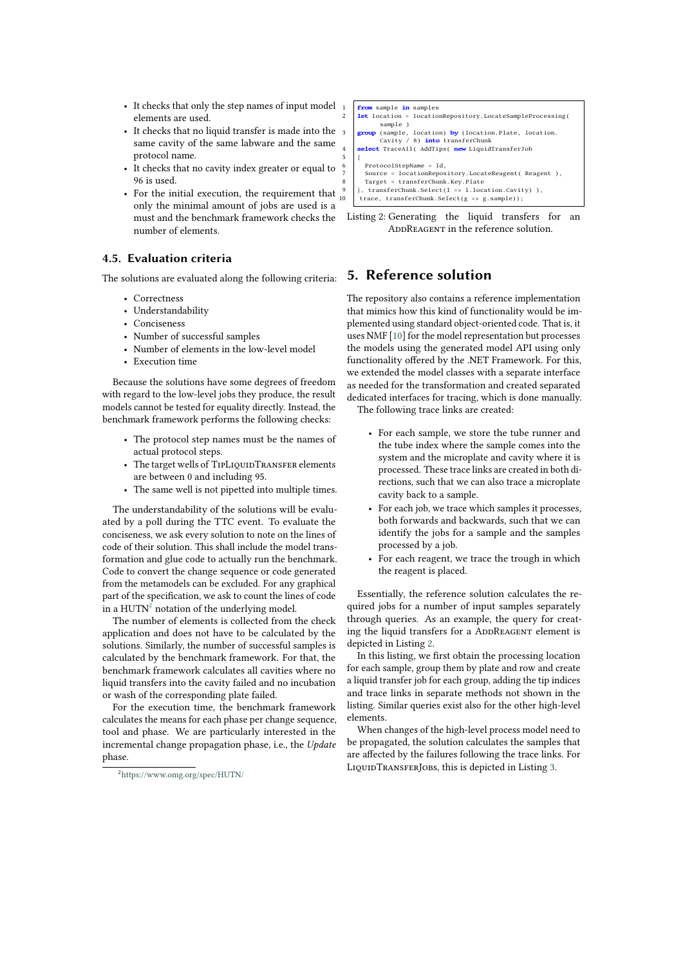- It checks that only the step names of input model elements are used.
- It checks that no liquid transfer is made into the  $\,$   $_{3}$ same cavity of the same labware and the same protocol name.
- It checks that no cavity index greater or equal to 96 is used.
- For the initial execution, the requirement that only the minimal amount of jobs are used is a must and the benchmark framework checks the number of elements.

### <span id="page-6-1"></span>**4.5. Evaluation criteria**

The solutions are evaluated along the following criteria:

- Correctness
- Understandability
- Conciseness
- Number of successful samples
- Number of elements in the low-level model
- Execution time

Because the solutions have some degrees of freedom with regard to the low-level jobs they produce, the result models cannot be tested for equality directly. Instead, the benchmark framework performs the following checks:

- The protocol step names must be the names of actual protocol steps.
- The target wells of TIPLIQUIDTRANSFER elements are between 0 and including 95.
- The same well is not pipetted into multiple times.

The understandability of the solutions will be evaluated by a poll during the TTC event. To evaluate the conciseness, we ask every solution to note on the lines of code of their solution. This shall include the model transformation and glue code to actually run the benchmark. Code to convert the change sequence or code generated from the metamodels can be excluded. For any graphical part of the specification, we ask to count the lines of code in a  $HUTN^2$  $HUTN^2$  notation of the underlying model.

The number of elements is collected from the check application and does not have to be calculated by the solutions. Similarly, the number of successful samples is calculated by the benchmark framework. For that, the benchmark framework calculates all cavities where no liquid transfers into the cavity failed and no incubation or wash of the corresponding plate failed.

For the execution time, the benchmark framework calculates the means for each phase per change sequence, tool and phase. We are particularly interested in the incremental change propagation phase, i.e., the *Update* phase.

```
1 from sample in samples
                       2 let location = locationRepository.LocateSampleProcessing(
 sample )<br>3 group (sample, location) by (location.Plate, location.
              Cavity / 8) into transferChunk
      4 select TraceAll( AddTips( new LiquidTransferJob
 5 \mid \{ProtocolStepName = Id,
 7 Source = locationRepository.LocateReagent( Reagent ),
8 Target = transferChunk.Key.Plate
9 }, transferChunk.Select(l => l.location.Cavity) ),
10 trace, transferChunk.Select(g => g.sample));
```


# <span id="page-6-0"></span>**5. Reference solution**

The repository also contains a reference implementation that mimics how this kind of functionality would be implemented using standard object-oriented code. That is, it uses NMF [\[10\]](#page-8-7) for the model representation but processes the models using the generated model API using only functionality offered by the .NET Framework. For this, we extended the model classes with a separate interface as needed for the transformation and created separated dedicated interfaces for tracing, which is done manually. The following trace links are created:

- For each sample, we store the tube runner and the tube index where the sample comes into the system and the microplate and cavity where it is processed. These trace links are created in both directions, such that we can also trace a microplate cavity back to a sample.
- For each job, we trace which samples it processes, both forwards and backwards, such that we can identify the jobs for a sample and the samples processed by a job.
- For each reagent, we trace the trough in which the reagent is placed.

Essentially, the reference solution calculates the required jobs for a number of input samples separately through queries. As an example, the query for creating the liquid transfers for a ADDREAGENT element is depicted in Listing [2.](#page-6-3)

In this listing, we first obtain the processing location for each sample, group them by plate and row and create a liquid transfer job for each group, adding the tip indices and trace links in separate methods not shown in the listing. Similar queries exist also for the other high-level elements.

When changes of the high-level process model need to be propagated, the solution calculates the samples that are affected by the failures following the trace links. For LiquidTransferJobs, this is depicted in Listing [3.](#page-7-1)

<span id="page-6-2"></span><sup>2</sup><https://www.omg.org/spec/HUTN/>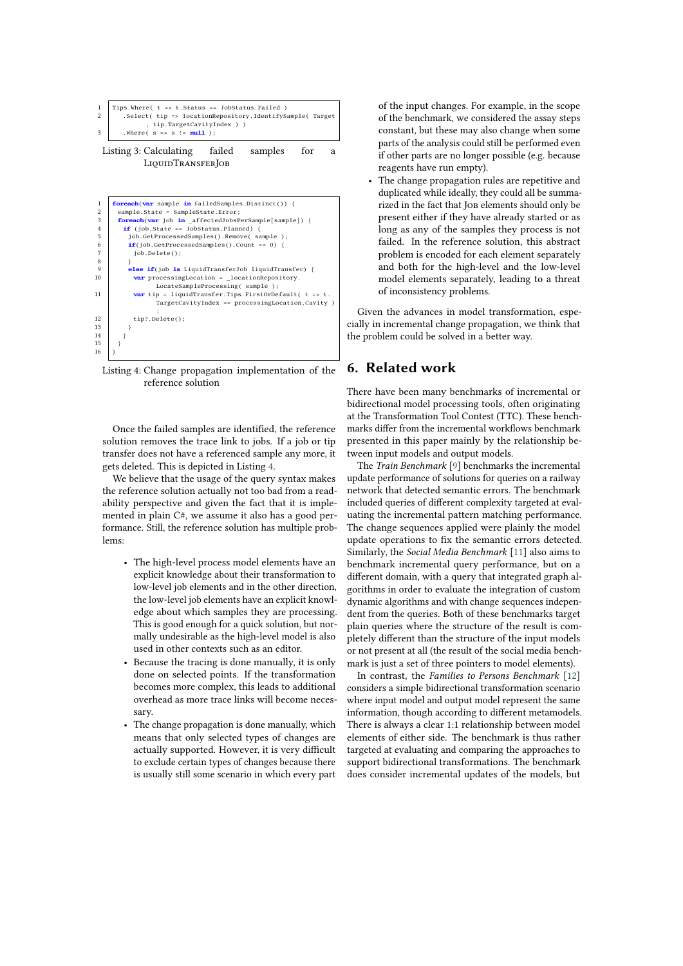<span id="page-7-1"></span>

<span id="page-7-2"></span>; 12 tip?.Delete();  $\begin{array}{c|c}\n 13 \\
 14\n \end{array}$  $\frac{13}{14}$ 15 } 16 }

Listing 4: Change propagation implementation of the reference solution

Once the failed samples are identified, the reference solution removes the trace link to jobs. If a job or tip transfer does not have a referenced sample any more, it gets deleted. This is depicted in Listing [4.](#page-7-2)

We believe that the usage of the query syntax makes the reference solution actually not too bad from a readability perspective and given the fact that it is implemented in plain C#, we assume it also has a good performance. Still, the reference solution has multiple problems:

- The high-level process model elements have an explicit knowledge about their transformation to low-level job elements and in the other direction, the low-level job elements have an explicit knowledge about which samples they are processing. This is good enough for a quick solution, but normally undesirable as the high-level model is also used in other contexts such as an editor.
- Because the tracing is done manually, it is only done on selected points. If the transformation becomes more complex, this leads to additional overhead as more trace links will become necessary.
- The change propagation is done manually, which means that only selected types of changes are actually supported. However, it is very difficult to exclude certain types of changes because there is usually still some scenario in which every part

of the input changes. For example, in the scope of the benchmark, we considered the assay steps constant, but these may also change when some parts of the analysis could still be performed even if other parts are no longer possible (e.g. because reagents have run empty).

The change propagation rules are repetitive and duplicated while ideally, they could all be summarized in the fact that Job elements should only be present either if they have already started or as long as any of the samples they process is not failed. In the reference solution, this abstract problem is encoded for each element separately and both for the high-level and the low-level model elements separately, leading to a threat of inconsistency problems.

Given the advances in model transformation, especially in incremental change propagation, we think that the problem could be solved in a better way.

### <span id="page-7-0"></span>**6. Related work**

There have been many benchmarks of incremental or bidirectional model processing tools, often originating at the Transformation Tool Contest (TTC). These benchmarks differ from the incremental workflows benchmark presented in this paper mainly by the relationship between input models and output models.

The *Train Benchmark* [\[9\]](#page-8-6) benchmarks the incremental update performance of solutions for queries on a railway network that detected semantic errors. The benchmark included queries of different complexity targeted at evaluating the incremental pattern matching performance. The change sequences applied were plainly the model update operations to fix the semantic errors detected. Similarly, the *Social Media Benchmark* [\[11\]](#page-8-8) also aims to benchmark incremental query performance, but on a different domain, with a query that integrated graph algorithms in order to evaluate the integration of custom dynamic algorithms and with change sequences independent from the queries. Both of these benchmarks target plain queries where the structure of the result is completely different than the structure of the input models or not present at all (the result of the social media benchmark is just a set of three pointers to model elements).

In contrast, the *Families to Persons Benchmark* [\[12\]](#page-8-9) considers a simple bidirectional transformation scenario where input model and output model represent the same information, though according to different metamodels. There is always a clear 1:1 relationship between model elements of either side. The benchmark is thus rather targeted at evaluating and comparing the approaches to support bidirectional transformations. The benchmark does consider incremental updates of the models, but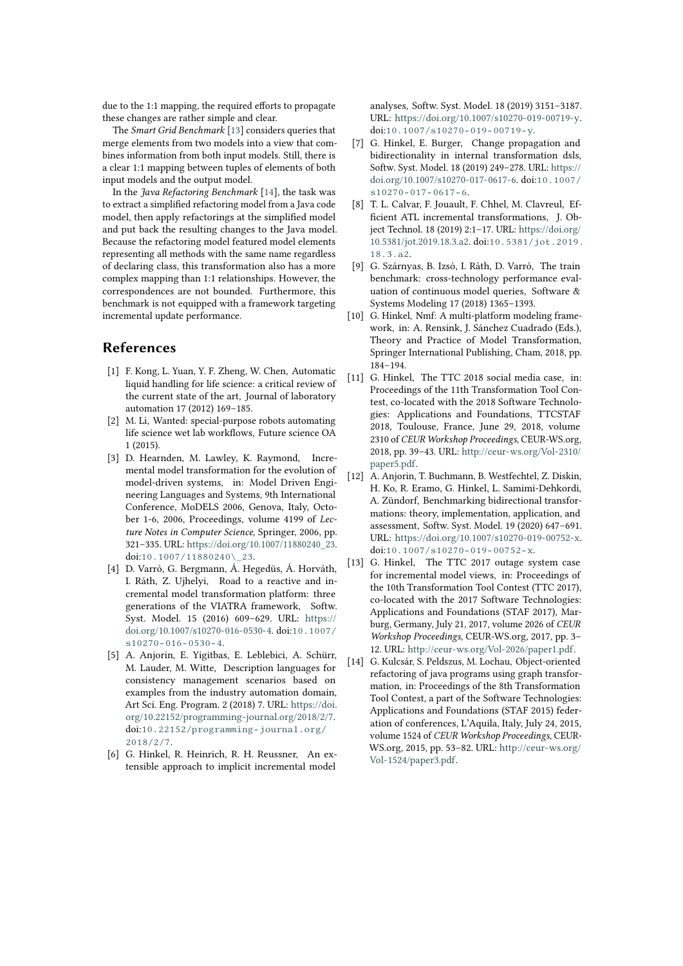due to the 1:1 mapping, the required efforts to propagate these changes are rather simple and clear.

The *Smart Grid Benchmark* [\[13\]](#page-8-10) considers queries that merge elements from two models into a view that combines information from both input models. Still, there is a clear 1:1 mapping between tuples of elements of both input models and the output model.

In the *Java Refactoring Benchmark* [\[14\]](#page-8-11), the task was to extract a simplified refactoring model from a Java code model, then apply refactorings at the simplified model and put back the resulting changes to the Java model. Because the refactoring model featured model elements representing all methods with the same name regardless of declaring class, this transformation also has a more complex mapping than 1:1 relationships. However, the correspondences are not bounded. Furthermore, this benchmark is not equipped with a framework targeting incremental update performance.

## **References**

- [1] F. Kong, L. Yuan, Y. F. Zheng, W. Chen, Automatic liquid handling for life science: a critical review of the current state of the art, Journal of laboratory automation 17 (2012) 169–185.
- [2] M. Li, Wanted: special-purpose robots automating life science wet lab workflows, Future science OA 1 (2015).
- <span id="page-8-0"></span>[3] D. Hearnden, M. Lawley, K. Raymond, Incremental model transformation for the evolution of model-driven systems, in: Model Driven Engineering Languages and Systems, 9th International Conference, MoDELS 2006, Genova, Italy, October 1-6, 2006, Proceedings, volume 4199 of *Lecture Notes in Computer Science*, Springer, 2006, pp. 321–335. URL: [https://doi.org/10.1007/11880240\\_23.](https://doi.org/10.1007/11880240_23) doi:[10.1007/11880240\\\_23](http://dx.doi.org/10.1007/11880240_23).
- <span id="page-8-1"></span>[4] D. Varró, G. Bergmann, Á. Hegedüs, Á. Horváth, I. Ráth, Z. Ujhelyi, Road to a reactive and incremental model transformation platform: three generations of the VIATRA framework, Softw. Syst. Model. 15 (2016) 609–629. URL: [https://](https://doi.org/10.1007/s10270-016-0530-4) [doi.org/10.1007/s10270-016-0530-4.](https://doi.org/10.1007/s10270-016-0530-4) doi:[10.1007/](http://dx.doi.org/10.1007/s10270-016-0530-4) [s10270-016-0530-4](http://dx.doi.org/10.1007/s10270-016-0530-4).
- <span id="page-8-2"></span>[5] A. Anjorin, E. Yigitbas, E. Leblebici, A. Schürr, M. Lauder, M. Witte, Description languages for consistency management scenarios based on examples from the industry automation domain, Art Sci. Eng. Program. 2 (2018) 7. URL: [https://doi.](https://doi.org/10.22152/programming-journal.org/2018/2/7) [org/10.22152/programming-journal.org/2018/2/7.](https://doi.org/10.22152/programming-journal.org/2018/2/7) doi:[10.22152/programming-journal.org/](http://dx.doi.org/10.22152/programming-journal.org/2018/2/7) [2018/2/7](http://dx.doi.org/10.22152/programming-journal.org/2018/2/7).
- <span id="page-8-3"></span>[6] G. Hinkel, R. Heinrich, R. H. Reussner, An extensible approach to implicit incremental model

analyses, Softw. Syst. Model. 18 (2019) 3151–3187. URL: [https://doi.org/10.1007/s10270-019-00719-y.](https://doi.org/10.1007/s10270-019-00719-y) doi:[10.1007/s10270-019-00719-y](http://dx.doi.org/10.1007/s10270-019-00719-y).

- <span id="page-8-4"></span>[7] G. Hinkel, E. Burger, Change propagation and bidirectionality in internal transformation dsls, Softw. Syst. Model. 18 (2019) 249–278. URL: [https://](https://doi.org/10.1007/s10270-017-0617-6) [doi.org/10.1007/s10270-017-0617-6.](https://doi.org/10.1007/s10270-017-0617-6) doi:[10.1007/](http://dx.doi.org/10.1007/s10270-017-0617-6) [s10270-017-0617-6](http://dx.doi.org/10.1007/s10270-017-0617-6).
- <span id="page-8-5"></span>[8] T. L. Calvar, F. Jouault, F. Chhel, M. Clavreul, Efficient ATL incremental transformations, J. Object Technol. 18 (2019) 2:1–17. URL: [https://doi.org/](https://doi.org/10.5381/jot.2019.18.3.a2) [10.5381/jot.2019.18.3.a2.](https://doi.org/10.5381/jot.2019.18.3.a2) doi:[10.5381/jot.2019.](http://dx.doi.org/10.5381/jot.2019.18.3.a2) [18.3.a2](http://dx.doi.org/10.5381/jot.2019.18.3.a2).
- <span id="page-8-6"></span>[9] G. Szárnyas, B. Izsó, I. Ráth, D. Varró, The train benchmark: cross-technology performance evaluation of continuous model queries, Software & Systems Modeling 17 (2018) 1365–1393.
- <span id="page-8-7"></span>[10] G. Hinkel, Nmf: A multi-platform modeling framework, in: A. Rensink, J. Sánchez Cuadrado (Eds.), Theory and Practice of Model Transformation, Springer International Publishing, Cham, 2018, pp. 184–194.
- <span id="page-8-8"></span>[11] G. Hinkel, The TTC 2018 social media case, in: Proceedings of the 11th Transformation Tool Contest, co-located with the 2018 Software Technologies: Applications and Foundations, TTCSTAF 2018, Toulouse, France, June 29, 2018, volume 2310 of *CEUR Workshop Proceedings*, CEUR-WS.org, 2018, pp. 39–43. URL: [http://ceur-ws.org/Vol-2310/](http://ceur-ws.org/Vol-2310/paper5.pdf) [paper5.pdf.](http://ceur-ws.org/Vol-2310/paper5.pdf)
- <span id="page-8-9"></span>[12] A. Anjorin, T. Buchmann, B. Westfechtel, Z. Diskin, H. Ko, R. Eramo, G. Hinkel, L. Samimi-Dehkordi, A. Zündorf, Benchmarking bidirectional transformations: theory, implementation, application, and assessment, Softw. Syst. Model. 19 (2020) 647–691. URL: [https://doi.org/10.1007/s10270-019-00752-x.](https://doi.org/10.1007/s10270-019-00752-x) doi:[10.1007/s10270-019-00752-x](http://dx.doi.org/10.1007/s10270-019-00752-x).
- <span id="page-8-10"></span>[13] G. Hinkel, The TTC 2017 outage system case for incremental model views, in: Proceedings of the 10th Transformation Tool Contest (TTC 2017), co-located with the 2017 Software Technologies: Applications and Foundations (STAF 2017), Marburg, Germany, July 21, 2017, volume 2026 of *CEUR Workshop Proceedings*, CEUR-WS.org, 2017, pp. 3– 12. URL: [http://ceur-ws.org/Vol-2026/paper1.pdf.](http://ceur-ws.org/Vol-2026/paper1.pdf)
- <span id="page-8-11"></span>[14] G. Kulcsár, S. Peldszus, M. Lochau, Object-oriented refactoring of java programs using graph transformation, in: Proceedings of the 8th Transformation Tool Contest, a part of the Software Technologies: Applications and Foundations (STAF 2015) federation of conferences, L'Aquila, Italy, July 24, 2015, volume 1524 of *CEUR Workshop Proceedings*, CEUR-WS.org, 2015, pp. 53–82. URL: [http://ceur-ws.org/](http://ceur-ws.org/Vol-1524/paper3.pdf) [Vol-1524/paper3.pdf.](http://ceur-ws.org/Vol-1524/paper3.pdf)